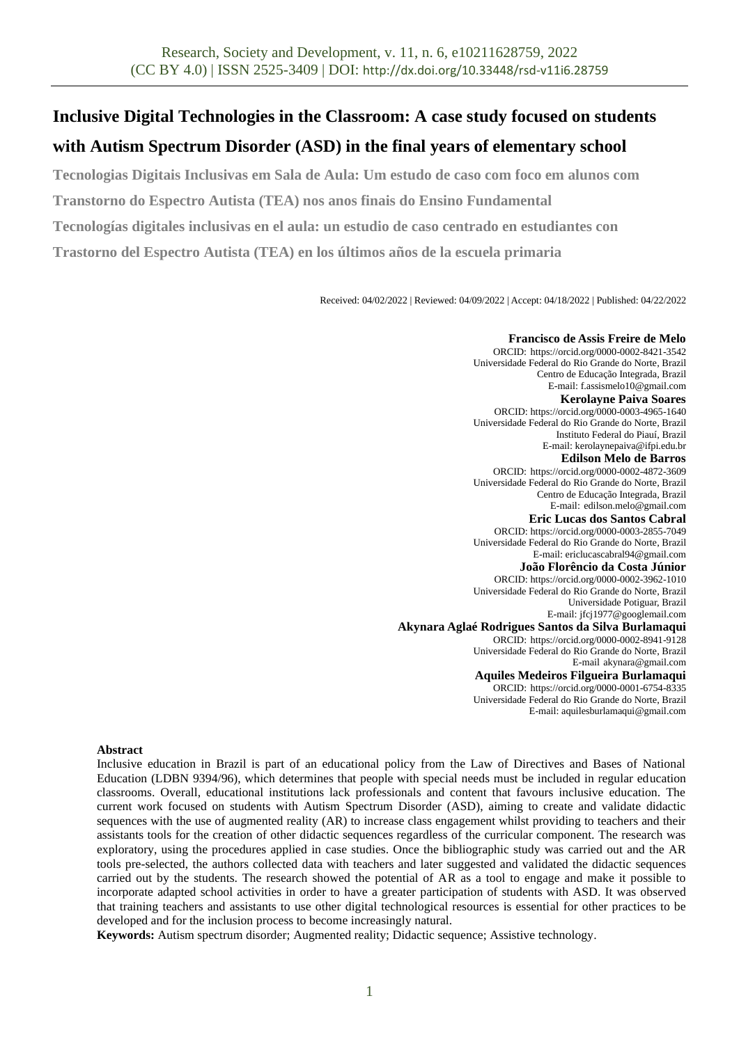# **Inclusive Digital Technologies in the Classroom: A case study focused on students**

## **with Autism Spectrum Disorder (ASD) in the final years of elementary school**

**Tecnologias Digitais Inclusivas em Sala de Aula: Um estudo de caso com foco em alunos com** 

**Transtorno do Espectro Autista (TEA) nos anos finais do Ensino Fundamental**

**Tecnologías digitales inclusivas en el aula: un estudio de caso centrado en estudiantes con** 

**Trastorno del Espectro Autista (TEA) en los últimos años de la escuela primaria**

Received: 04/02/2022 | Reviewed: 04/09/2022 | Accept: 04/18/2022 | Published: 04/22/2022

## **Francisco de Assis Freire de Melo**

ORCID: https://orcid.org/0000-0002-8421-3542 Universidade Federal do Rio Grande do Norte, Brazil Centro de Educação Integrada, Brazil E-mail[: f.assismelo10@gmail.com](mailto:f.assismelo10@gmail.com) **Kerolayne Paiva Soares** ORCID: https://orcid.org/0000-0003-4965-1640 Universidade Federal do Rio Grande do Norte, Brazil Instituto Federal do Piauí, Brazil E-mail[: kerolaynepaiva@ifpi.edu.br](mailto:kerolaynepaiva@ifpi.edu.br) **Edilson Melo de Barros** ORCID: https://orcid.org/0000-0002-4872-3609 Universidade Federal do Rio Grande do Norte, Brazil Centro de Educação Integrada, Brazil E-mail: [edilson.melo@gmail.com](mailto:edilson.melo@gmail.com) **Eric Lucas dos Santos Cabral** ORCID: https://orcid.org/0000-0003-2855-7049 Universidade Federal do Rio Grande do Norte, Brazil E-mail[: ericlucascabral94@gmail.com](mailto:ericlucascabral94@gmail.com) **João Florêncio da Costa Júnior** ORCID: https://orcid.org/0000-0002-3962-1010 Universidade Federal do Rio Grande do Norte, Brazil Universidade Potiguar, Brazil E-mail[: jfcj1977@googlemail.com](mailto:jfcj1977@googlemail.com) **Akynara Aglaé Rodrigues Santos da Silva Burlamaqui** ORCID: https://orcid.org/0000-0002-8941-9128 Universidade Federal do Rio Grande do Norte, Brazil E-mail [akynara@gmail.com](mailto:akynara@gmail.com) **Aquiles Medeiros Filgueira Burlamaqui** ORCID: https://orcid.org/0000-0001-6754-8335 Universidade Federal do Rio Grande do Norte, Brazil

E-mail[: aquilesburlamaqui@gmail.com](mailto:aquilesburlamaqui@gmail.com)

## **Abstract**

Inclusive education in Brazil is part of an educational policy from the Law of Directives and Bases of National Education (LDBN 9394/96), which determines that people with special needs must be included in regular education classrooms. Overall, educational institutions lack professionals and content that favours inclusive education. The current work focused on students with Autism Spectrum Disorder (ASD), aiming to create and validate didactic sequences with the use of augmented reality (AR) to increase class engagement whilst providing to teachers and their assistants tools for the creation of other didactic sequences regardless of the curricular component. The research was exploratory, using the procedures applied in case studies. Once the bibliographic study was carried out and the AR tools pre-selected, the authors collected data with teachers and later suggested and validated the didactic sequences carried out by the students. The research showed the potential of AR as a tool to engage and make it possible to incorporate adapted school activities in order to have a greater participation of students with ASD. It was observed that training teachers and assistants to use other digital technological resources is essential for other practices to be developed and for the inclusion process to become increasingly natural.

**Keywords:** Autism spectrum disorder; Augmented reality; Didactic sequence; Assistive technology.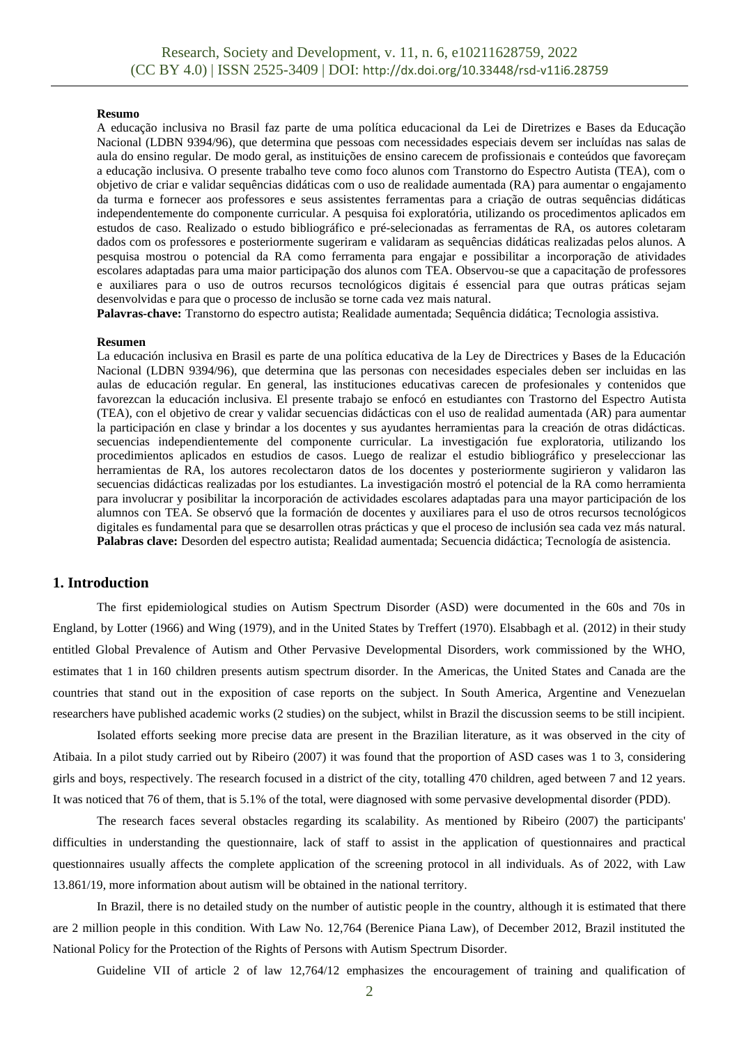#### **Resumo**

A educação inclusiva no Brasil faz parte de uma política educacional da Lei de Diretrizes e Bases da Educação Nacional (LDBN 9394/96), que determina que pessoas com necessidades especiais devem ser incluídas nas salas de aula do ensino regular. De modo geral, as instituições de ensino carecem de profissionais e conteúdos que favoreçam a educação inclusiva. O presente trabalho teve como foco alunos com Transtorno do Espectro Autista (TEA), com o objetivo de criar e validar sequências didáticas com o uso de realidade aumentada (RA) para aumentar o engajamento da turma e fornecer aos professores e seus assistentes ferramentas para a criação de outras sequências didáticas independentemente do componente curricular. A pesquisa foi exploratória, utilizando os procedimentos aplicados em estudos de caso. Realizado o estudo bibliográfico e pré-selecionadas as ferramentas de RA, os autores coletaram dados com os professores e posteriormente sugeriram e validaram as sequências didáticas realizadas pelos alunos. A pesquisa mostrou o potencial da RA como ferramenta para engajar e possibilitar a incorporação de atividades escolares adaptadas para uma maior participação dos alunos com TEA. Observou-se que a capacitação de professores e auxiliares para o uso de outros recursos tecnológicos digitais é essencial para que outras práticas sejam desenvolvidas e para que o processo de inclusão se torne cada vez mais natural.

**Palavras-chave:** Transtorno do espectro autista; Realidade aumentada; Sequência didática; Tecnologia assistiva.

#### **Resumen**

La educación inclusiva en Brasil es parte de una política educativa de la Ley de Directrices y Bases de la Educación Nacional (LDBN 9394/96), que determina que las personas con necesidades especiales deben ser incluidas en las aulas de educación regular. En general, las instituciones educativas carecen de profesionales y contenidos que favorezcan la educación inclusiva. El presente trabajo se enfocó en estudiantes con Trastorno del Espectro Autista (TEA), con el objetivo de crear y validar secuencias didácticas con el uso de realidad aumentada (AR) para aumentar la participación en clase y brindar a los docentes y sus ayudantes herramientas para la creación de otras didácticas. secuencias independientemente del componente curricular. La investigación fue exploratoria, utilizando los procedimientos aplicados en estudios de casos. Luego de realizar el estudio bibliográfico y preseleccionar las herramientas de RA, los autores recolectaron datos de los docentes y posteriormente sugirieron y validaron las secuencias didácticas realizadas por los estudiantes. La investigación mostró el potencial de la RA como herramienta para involucrar y posibilitar la incorporación de actividades escolares adaptadas para una mayor participación de los alumnos con TEA. Se observó que la formación de docentes y auxiliares para el uso de otros recursos tecnológicos digitales es fundamental para que se desarrollen otras prácticas y que el proceso de inclusión sea cada vez más natural. **Palabras clave:** Desorden del espectro autista; Realidad aumentada; Secuencia didáctica; Tecnología de asistencia.

## **1. Introduction**

The first epidemiological studies on Autism Spectrum Disorder (ASD) were documented in the 60s and 70s in England, by Lotter (1966) and Wing (1979), and in the United States by Treffert (1970). Elsabbagh et al. (2012) in their study entitled Global Prevalence of Autism and Other Pervasive Developmental Disorders, work commissioned by the WHO, estimates that 1 in 160 children presents autism spectrum disorder. In the Americas, the United States and Canada are the countries that stand out in the exposition of case reports on the subject. In South America, Argentine and Venezuelan researchers have published academic works (2 studies) on the subject, whilst in Brazil the discussion seems to be still incipient.

Isolated efforts seeking more precise data are present in the Brazilian literature, as it was observed in the city of Atibaia. In a pilot study carried out by Ribeiro (2007) it was found that the proportion of ASD cases was 1 to 3, considering girls and boys, respectively. The research focused in a district of the city, totalling 470 children, aged between 7 and 12 years. It was noticed that 76 of them, that is 5.1% of the total, were diagnosed with some pervasive developmental disorder (PDD).

The research faces several obstacles regarding its scalability. As mentioned by Ribeiro (2007) the participants' difficulties in understanding the questionnaire, lack of staff to assist in the application of questionnaires and practical questionnaires usually affects the complete application of the screening protocol in all individuals. As of 2022, with Law 13.861/19, more information about autism will be obtained in the national territory.

In Brazil, there is no detailed study on the number of autistic people in the country, although it is estimated that there are 2 million people in this condition. With Law No. 12,764 (Berenice Piana Law), of December 2012, Brazil instituted the National Policy for the Protection of the Rights of Persons with Autism Spectrum Disorder.

Guideline VII of article 2 of law 12,764/12 emphasizes the encouragement of training and qualification of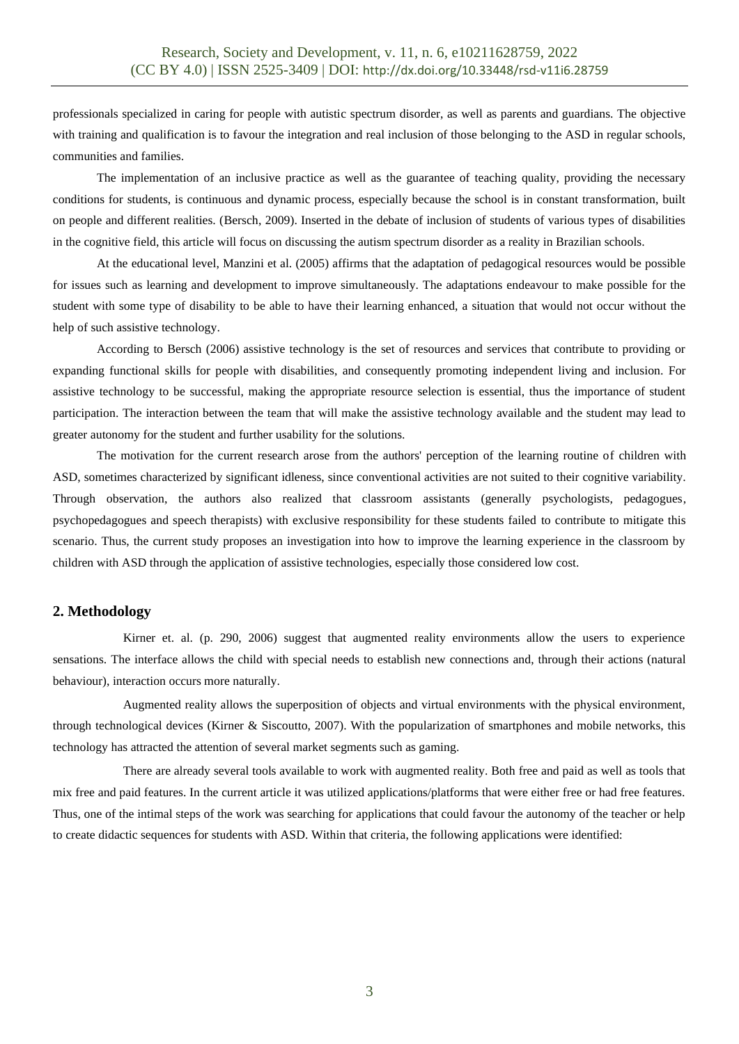professionals specialized in caring for people with autistic spectrum disorder, as well as parents and guardians. The objective with training and qualification is to favour the integration and real inclusion of those belonging to the ASD in regular schools, communities and families.

The implementation of an inclusive practice as well as the guarantee of teaching quality, providing the necessary conditions for students, is continuous and dynamic process, especially because the school is in constant transformation, built on people and different realities. (Bersch, 2009). Inserted in the debate of inclusion of students of various types of disabilities in the cognitive field, this article will focus on discussing the autism spectrum disorder as a reality in Brazilian schools.

At the educational level, Manzini et al. (2005) affirms that the adaptation of pedagogical resources would be possible for issues such as learning and development to improve simultaneously. The adaptations endeavour to make possible for the student with some type of disability to be able to have their learning enhanced, a situation that would not occur without the help of such assistive technology.

According to Bersch (2006) assistive technology is the set of resources and services that contribute to providing or expanding functional skills for people with disabilities, and consequently promoting independent living and inclusion. For assistive technology to be successful, making the appropriate resource selection is essential, thus the importance of student participation. The interaction between the team that will make the assistive technology available and the student may lead to greater autonomy for the student and further usability for the solutions.

The motivation for the current research arose from the authors' perception of the learning routine of children with ASD, sometimes characterized by significant idleness, since conventional activities are not suited to their cognitive variability. Through observation, the authors also realized that classroom assistants (generally psychologists, pedagogues, psychopedagogues and speech therapists) with exclusive responsibility for these students failed to contribute to mitigate this scenario. Thus, the current study proposes an investigation into how to improve the learning experience in the classroom by children with ASD through the application of assistive technologies, especially those considered low cost.

## **2. Methodology**

Kirner et. al. (p. 290, 2006) suggest that augmented reality environments allow the users to experience sensations. The interface allows the child with special needs to establish new connections and, through their actions (natural behaviour), interaction occurs more naturally.

Augmented reality allows the superposition of objects and virtual environments with the physical environment, through technological devices (Kirner & Siscoutto, 2007). With the popularization of smartphones and mobile networks, this technology has attracted the attention of several market segments such as gaming.

There are already several tools available to work with augmented reality. Both free and paid as well as tools that mix free and paid features. In the current article it was utilized applications/platforms that were either free or had free features. Thus, one of the intimal steps of the work was searching for applications that could favour the autonomy of the teacher or help to create didactic sequences for students with ASD. Within that criteria, the following applications were identified: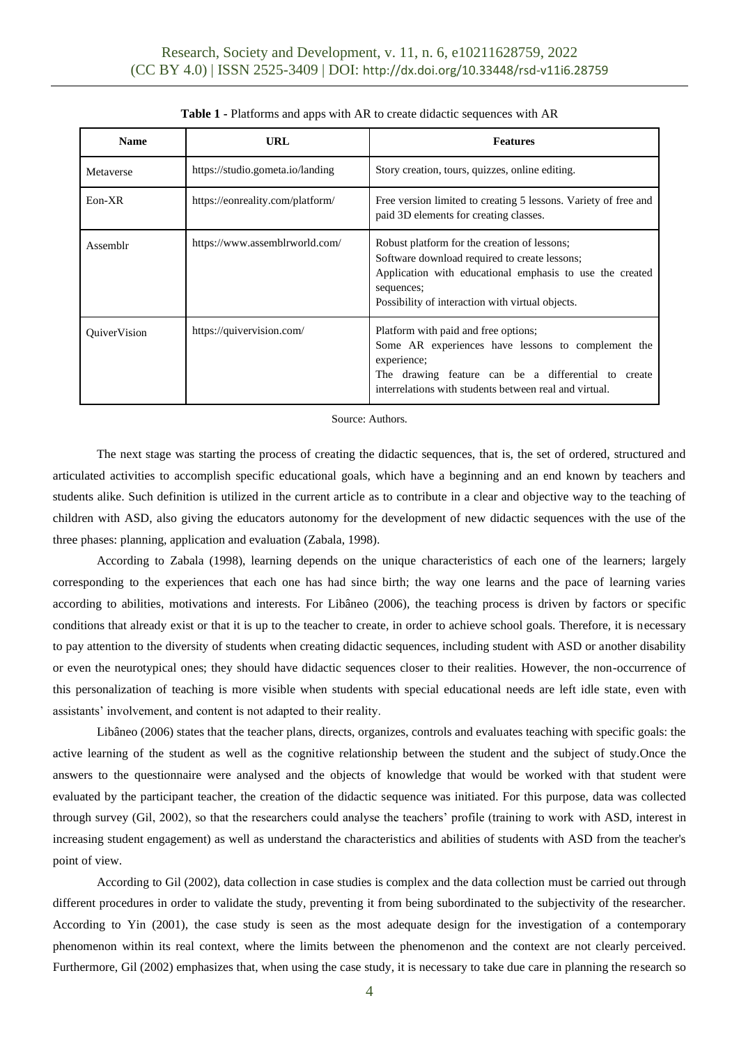| <b>Name</b>         | URL                              | <b>Features</b>                                                                                                                                                                                                             |  |
|---------------------|----------------------------------|-----------------------------------------------------------------------------------------------------------------------------------------------------------------------------------------------------------------------------|--|
| Metaverse           | https://studio.gometa.io/landing | Story creation, tours, quizzes, online editing.                                                                                                                                                                             |  |
| $Eon-XR$            | https://eonreality.com/platform/ | Free version limited to creating 5 lessons. Variety of free and<br>paid 3D elements for creating classes.                                                                                                                   |  |
| Assemblr            | https://www.assemblrworld.com/   | Robust platform for the creation of lessons;<br>Software download required to create lessons;<br>Application with educational emphasis to use the created<br>sequences;<br>Possibility of interaction with virtual objects. |  |
| <b>OuiverVision</b> | https://quivervision.com/        | Platform with paid and free options;<br>Some AR experiences have lessons to complement the<br>experience;<br>The drawing feature can be a differential to create<br>interrelations with students between real and virtual.  |  |

|  |  |  | Table 1 - Platforms and apps with AR to create didactic sequences with AR |  |
|--|--|--|---------------------------------------------------------------------------|--|
|--|--|--|---------------------------------------------------------------------------|--|

Source: Authors.

The next stage was starting the process of creating the didactic sequences, that is, the set of ordered, structured and articulated activities to accomplish specific educational goals, which have a beginning and an end known by teachers and students alike. Such definition is utilized in the current article as to contribute in a clear and objective way to the teaching of children with ASD, also giving the educators autonomy for the development of new didactic sequences with the use of the three phases: planning, application and evaluation (Zabala, 1998).

According to Zabala (1998), learning depends on the unique characteristics of each one of the learners; largely corresponding to the experiences that each one has had since birth; the way one learns and the pace of learning varies according to abilities, motivations and interests. For Libâneo (2006), the teaching process is driven by factors or specific conditions that already exist or that it is up to the teacher to create, in order to achieve school goals. Therefore, it is necessary to pay attention to the diversity of students when creating didactic sequences, including student with ASD or another disability or even the neurotypical ones; they should have didactic sequences closer to their realities. However, the non-occurrence of this personalization of teaching is more visible when students with special educational needs are left idle state, even with assistants' involvement, and content is not adapted to their reality.

Libâneo (2006) states that the teacher plans, directs, organizes, controls and evaluates teaching with specific goals: the active learning of the student as well as the cognitive relationship between the student and the subject of study.Once the answers to the questionnaire were analysed and the objects of knowledge that would be worked with that student were evaluated by the participant teacher, the creation of the didactic sequence was initiated. For this purpose, data was collected through survey (Gil, 2002), so that the researchers could analyse the teachers' profile (training to work with ASD, interest in increasing student engagement) as well as understand the characteristics and abilities of students with ASD from the teacher's point of view.

According to Gil (2002), data collection in case studies is complex and the data collection must be carried out through different procedures in order to validate the study, preventing it from being subordinated to the subjectivity of the researcher. According to Yin (2001), the case study is seen as the most adequate design for the investigation of a contemporary phenomenon within its real context, where the limits between the phenomenon and the context are not clearly perceived. Furthermore, Gil (2002) emphasizes that, when using the case study, it is necessary to take due care in planning the research so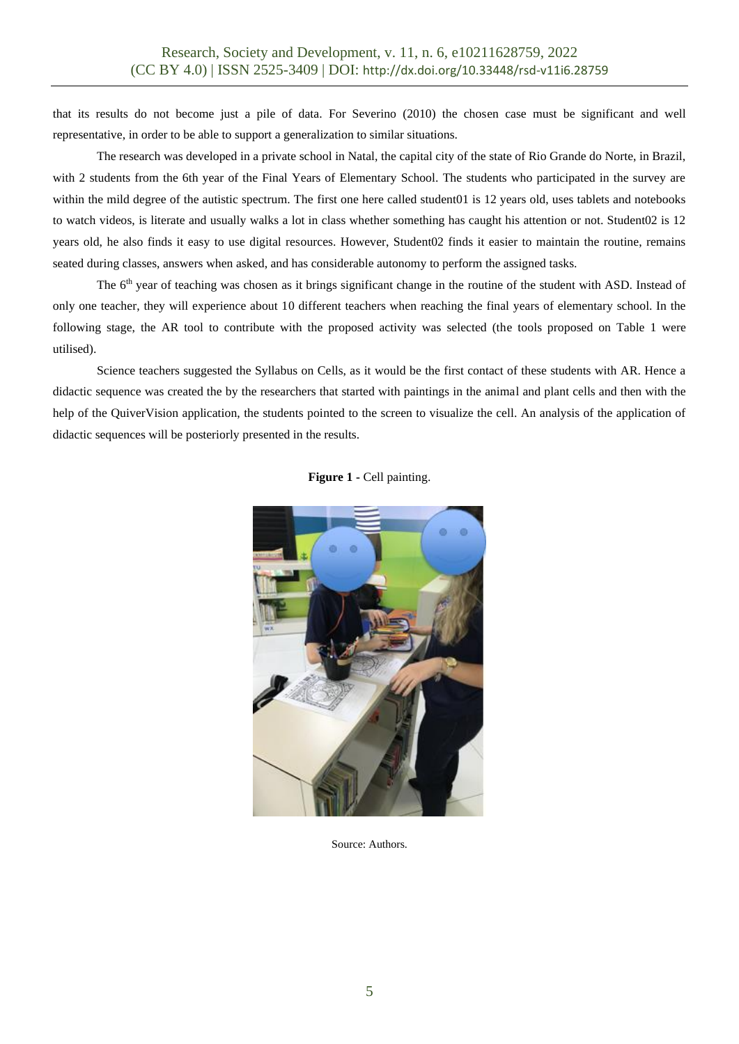that its results do not become just a pile of data. For Severino (2010) the chosen case must be significant and well representative, in order to be able to support a generalization to similar situations.

The research was developed in a private school in Natal, the capital city of the state of Rio Grande do Norte, in Brazil, with 2 students from the 6th year of the Final Years of Elementary School. The students who participated in the survey are within the mild degree of the autistic spectrum. The first one here called student01 is 12 years old, uses tablets and notebooks to watch videos, is literate and usually walks a lot in class whether something has caught his attention or not. Student02 is 12 years old, he also finds it easy to use digital resources. However, Student02 finds it easier to maintain the routine, remains seated during classes, answers when asked, and has considerable autonomy to perform the assigned tasks.

The 6<sup>th</sup> year of teaching was chosen as it brings significant change in the routine of the student with ASD. Instead of only one teacher, they will experience about 10 different teachers when reaching the final years of elementary school. In the following stage, the AR tool to contribute with the proposed activity was selected (the tools proposed on Table 1 were utilised).

Science teachers suggested the Syllabus on Cells, as it would be the first contact of these students with AR. Hence a didactic sequence was created the by the researchers that started with paintings in the animal and plant cells and then with the help of the QuiverVision application, the students pointed to the screen to visualize the cell. An analysis of the application of didactic sequences will be posteriorly presented in the results.



**Figure 1 -** Cell painting.

Source: Authors.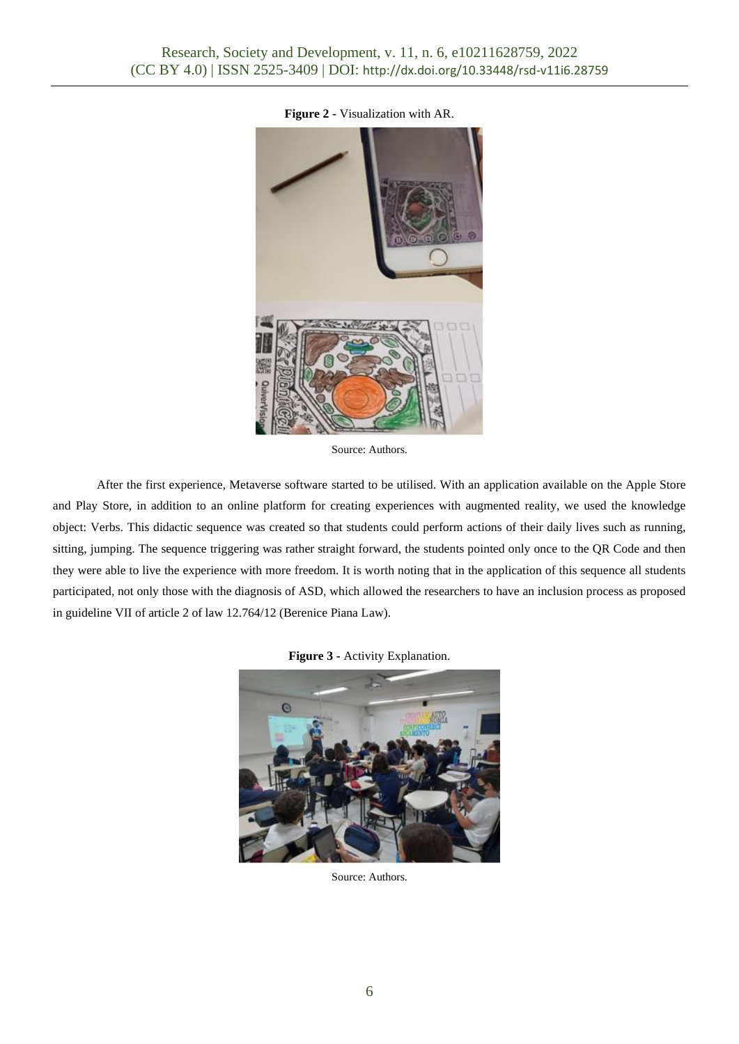

**Figure 2 -** Visualization with AR.

Source: Authors.

After the first experience, Metaverse software started to be utilised. With an application available on the Apple Store and Play Store, in addition to an online platform for creating experiences with augmented reality, we used the knowledge object: Verbs. This didactic sequence was created so that students could perform actions of their daily lives such as running, sitting, jumping. The sequence triggering was rather straight forward, the students pointed only once to the QR Code and then they were able to live the experience with more freedom. It is worth noting that in the application of this sequence all students participated, not only those with the diagnosis of ASD, which allowed the researchers to have an inclusion process as proposed in guideline VII of article 2 of law 12.764/12 (Berenice Piana Law).

## **Figure 3 -** Activity Explanation.



Source: Authors.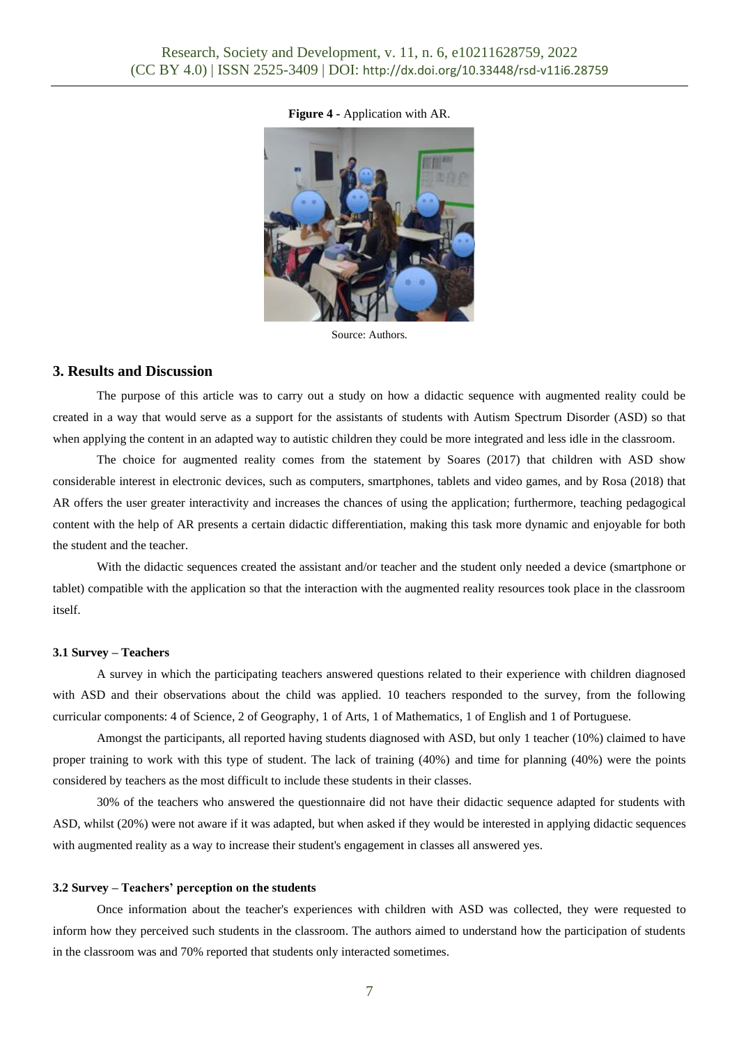**Figure 4 -** Application with AR.



Source: Authors.

## **3. Results and Discussion**

The purpose of this article was to carry out a study on how a didactic sequence with augmented reality could be created in a way that would serve as a support for the assistants of students with Autism Spectrum Disorder (ASD) so that when applying the content in an adapted way to autistic children they could be more integrated and less idle in the classroom.

The choice for augmented reality comes from the statement by Soares (2017) that children with ASD show considerable interest in electronic devices, such as computers, smartphones, tablets and video games, and by Rosa (2018) that AR offers the user greater interactivity and increases the chances of using the application; furthermore, teaching pedagogical content with the help of AR presents a certain didactic differentiation, making this task more dynamic and enjoyable for both the student and the teacher.

With the didactic sequences created the assistant and/or teacher and the student only needed a device (smartphone or tablet) compatible with the application so that the interaction with the augmented reality resources took place in the classroom itself.

#### **3.1 Survey – Teachers**

A survey in which the participating teachers answered questions related to their experience with children diagnosed with ASD and their observations about the child was applied. 10 teachers responded to the survey, from the following curricular components: 4 of Science, 2 of Geography, 1 of Arts, 1 of Mathematics, 1 of English and 1 of Portuguese.

Amongst the participants, all reported having students diagnosed with ASD, but only 1 teacher (10%) claimed to have proper training to work with this type of student. The lack of training (40%) and time for planning (40%) were the points considered by teachers as the most difficult to include these students in their classes.

30% of the teachers who answered the questionnaire did not have their didactic sequence adapted for students with ASD, whilst (20%) were not aware if it was adapted, but when asked if they would be interested in applying didactic sequences with augmented reality as a way to increase their student's engagement in classes all answered yes.

#### **3.2 Survey – Teachers' perception on the students**

Once information about the teacher's experiences with children with ASD was collected, they were requested to inform how they perceived such students in the classroom. The authors aimed to understand how the participation of students in the classroom was and 70% reported that students only interacted sometimes.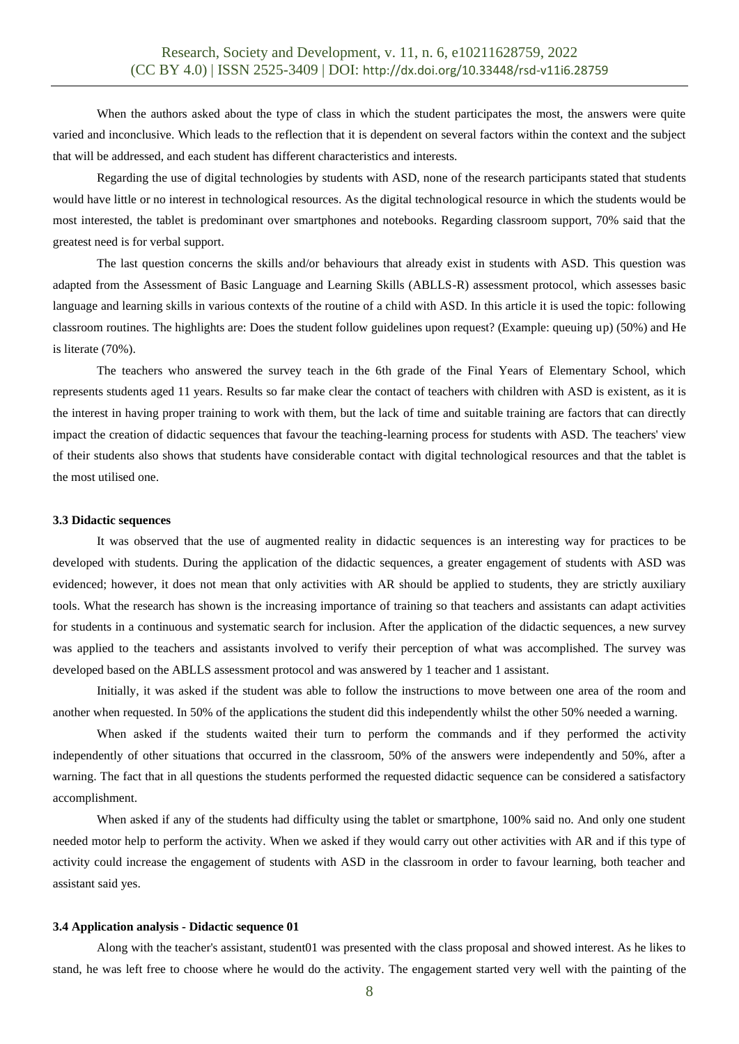When the authors asked about the type of class in which the student participates the most, the answers were quite varied and inconclusive. Which leads to the reflection that it is dependent on several factors within the context and the subject that will be addressed, and each student has different characteristics and interests.

Regarding the use of digital technologies by students with ASD, none of the research participants stated that students would have little or no interest in technological resources. As the digital technological resource in which the students would be most interested, the tablet is predominant over smartphones and notebooks. Regarding classroom support, 70% said that the greatest need is for verbal support.

The last question concerns the skills and/or behaviours that already exist in students with ASD. This question was adapted from the Assessment of Basic Language and Learning Skills (ABLLS-R) assessment protocol, which assesses basic language and learning skills in various contexts of the routine of a child with ASD. In this article it is used the topic: following classroom routines. The highlights are: Does the student follow guidelines upon request? (Example: queuing up) (50%) and He is literate (70%).

The teachers who answered the survey teach in the 6th grade of the Final Years of Elementary School, which represents students aged 11 years. Results so far make clear the contact of teachers with children with ASD is existent, as it is the interest in having proper training to work with them, but the lack of time and suitable training are factors that can directly impact the creation of didactic sequences that favour the teaching-learning process for students with ASD. The teachers' view of their students also shows that students have considerable contact with digital technological resources and that the tablet is the most utilised one.

#### **3.3 Didactic sequences**

It was observed that the use of augmented reality in didactic sequences is an interesting way for practices to be developed with students. During the application of the didactic sequences, a greater engagement of students with ASD was evidenced; however, it does not mean that only activities with AR should be applied to students, they are strictly auxiliary tools. What the research has shown is the increasing importance of training so that teachers and assistants can adapt activities for students in a continuous and systematic search for inclusion. After the application of the didactic sequences, a new survey was applied to the teachers and assistants involved to verify their perception of what was accomplished. The survey was developed based on the ABLLS assessment protocol and was answered by 1 teacher and 1 assistant.

Initially, it was asked if the student was able to follow the instructions to move between one area of the room and another when requested. In 50% of the applications the student did this independently whilst the other 50% needed a warning.

When asked if the students waited their turn to perform the commands and if they performed the activity independently of other situations that occurred in the classroom, 50% of the answers were independently and 50%, after a warning. The fact that in all questions the students performed the requested didactic sequence can be considered a satisfactory accomplishment.

When asked if any of the students had difficulty using the tablet or smartphone, 100% said no. And only one student needed motor help to perform the activity. When we asked if they would carry out other activities with AR and if this type of activity could increase the engagement of students with ASD in the classroom in order to favour learning, both teacher and assistant said yes.

#### **3.4 Application analysis - Didactic sequence 01**

Along with the teacher's assistant, student01 was presented with the class proposal and showed interest. As he likes to stand, he was left free to choose where he would do the activity. The engagement started very well with the painting of the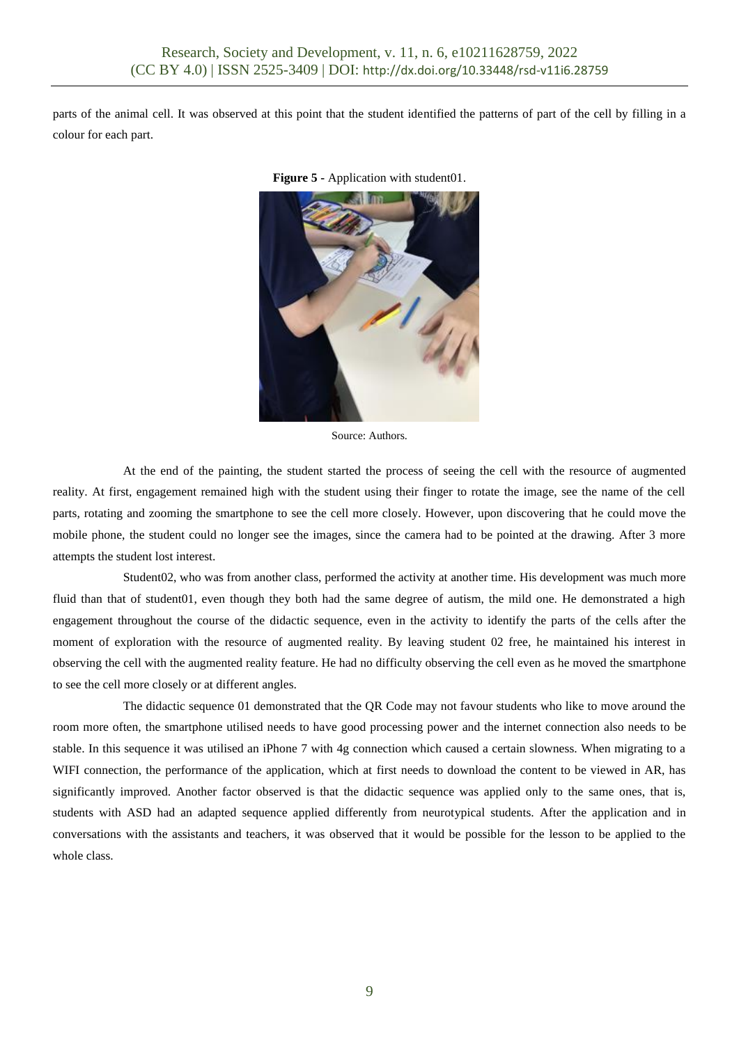parts of the animal cell. It was observed at this point that the student identified the patterns of part of the cell by filling in a colour for each part.



**Figure 5 -** Application with student01.

Source: Authors.

At the end of the painting, the student started the process of seeing the cell with the resource of augmented reality. At first, engagement remained high with the student using their finger to rotate the image, see the name of the cell parts, rotating and zooming the smartphone to see the cell more closely. However, upon discovering that he could move the mobile phone, the student could no longer see the images, since the camera had to be pointed at the drawing. After 3 more attempts the student lost interest.

Student02, who was from another class, performed the activity at another time. His development was much more fluid than that of student01, even though they both had the same degree of autism, the mild one. He demonstrated a high engagement throughout the course of the didactic sequence, even in the activity to identify the parts of the cells after the moment of exploration with the resource of augmented reality. By leaving student 02 free, he maintained his interest in observing the cell with the augmented reality feature. He had no difficulty observing the cell even as he moved the smartphone to see the cell more closely or at different angles.

The didactic sequence 01 demonstrated that the QR Code may not favour students who like to move around the room more often, the smartphone utilised needs to have good processing power and the internet connection also needs to be stable. In this sequence it was utilised an iPhone 7 with 4g connection which caused a certain slowness. When migrating to a WIFI connection, the performance of the application, which at first needs to download the content to be viewed in AR, has significantly improved. Another factor observed is that the didactic sequence was applied only to the same ones, that is, students with ASD had an adapted sequence applied differently from neurotypical students. After the application and in conversations with the assistants and teachers, it was observed that it would be possible for the lesson to be applied to the whole class.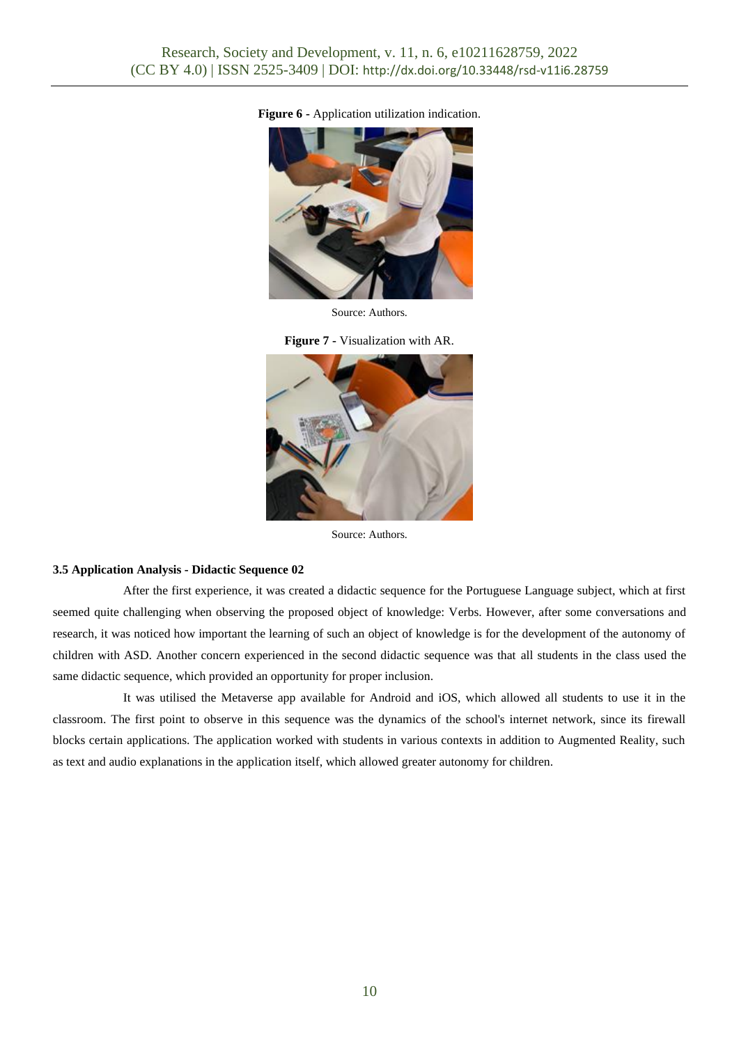

**Figure 6 -** Application utilization indication.

Source: Authors.





Source: Authors.

#### **3.5 Application Analysis - Didactic Sequence 02**

After the first experience, it was created a didactic sequence for the Portuguese Language subject, which at first seemed quite challenging when observing the proposed object of knowledge: Verbs. However, after some conversations and research, it was noticed how important the learning of such an object of knowledge is for the development of the autonomy of children with ASD. Another concern experienced in the second didactic sequence was that all students in the class used the same didactic sequence, which provided an opportunity for proper inclusion.

It was utilised the Metaverse app available for Android and iOS, which allowed all students to use it in the classroom. The first point to observe in this sequence was the dynamics of the school's internet network, since its firewall blocks certain applications. The application worked with students in various contexts in addition to Augmented Reality, such as text and audio explanations in the application itself, which allowed greater autonomy for children.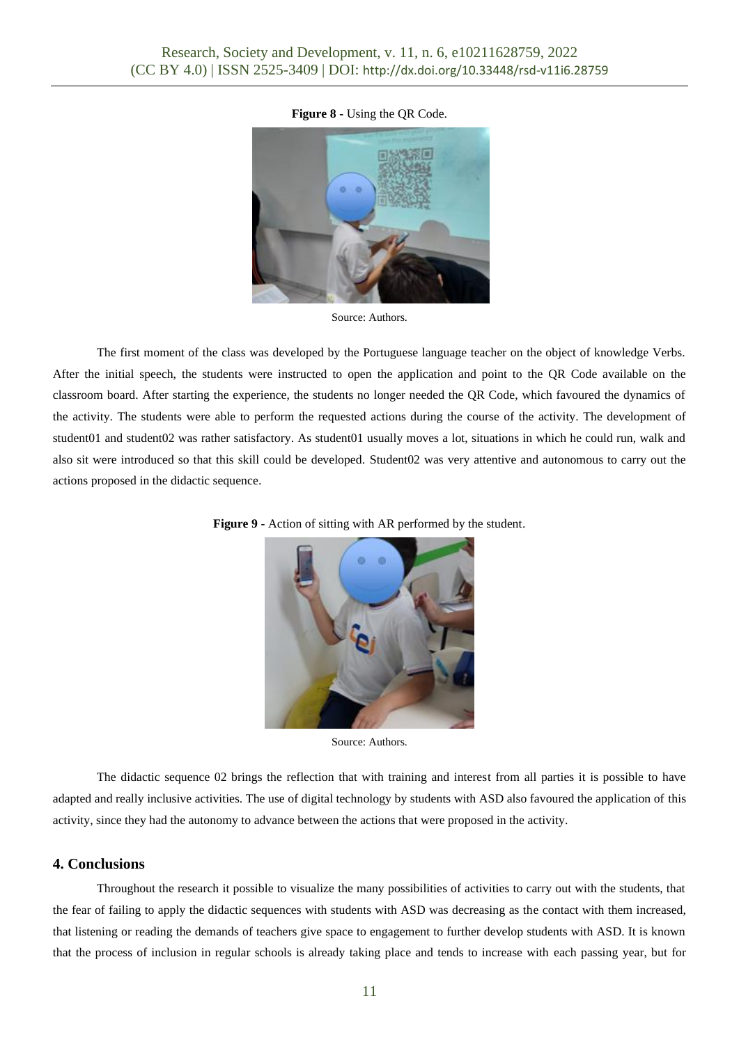## **Figure 8 -** Using the QR Code.



Source: Authors.

The first moment of the class was developed by the Portuguese language teacher on the object of knowledge Verbs. After the initial speech, the students were instructed to open the application and point to the QR Code available on the classroom board. After starting the experience, the students no longer needed the QR Code, which favoured the dynamics of the activity. The students were able to perform the requested actions during the course of the activity. The development of student01 and student02 was rather satisfactory. As student01 usually moves a lot, situations in which he could run, walk and also sit were introduced so that this skill could be developed. Student02 was very attentive and autonomous to carry out the actions proposed in the didactic sequence.



**Figure 9 -** Action of sitting with AR performed by the student.

Source: Authors.

The didactic sequence 02 brings the reflection that with training and interest from all parties it is possible to have adapted and really inclusive activities. The use of digital technology by students with ASD also favoured the application of this activity, since they had the autonomy to advance between the actions that were proposed in the activity.

## **4. Conclusions**

Throughout the research it possible to visualize the many possibilities of activities to carry out with the students, that the fear of failing to apply the didactic sequences with students with ASD was decreasing as the contact with them increased, that listening or reading the demands of teachers give space to engagement to further develop students with ASD. It is known that the process of inclusion in regular schools is already taking place and tends to increase with each passing year, but for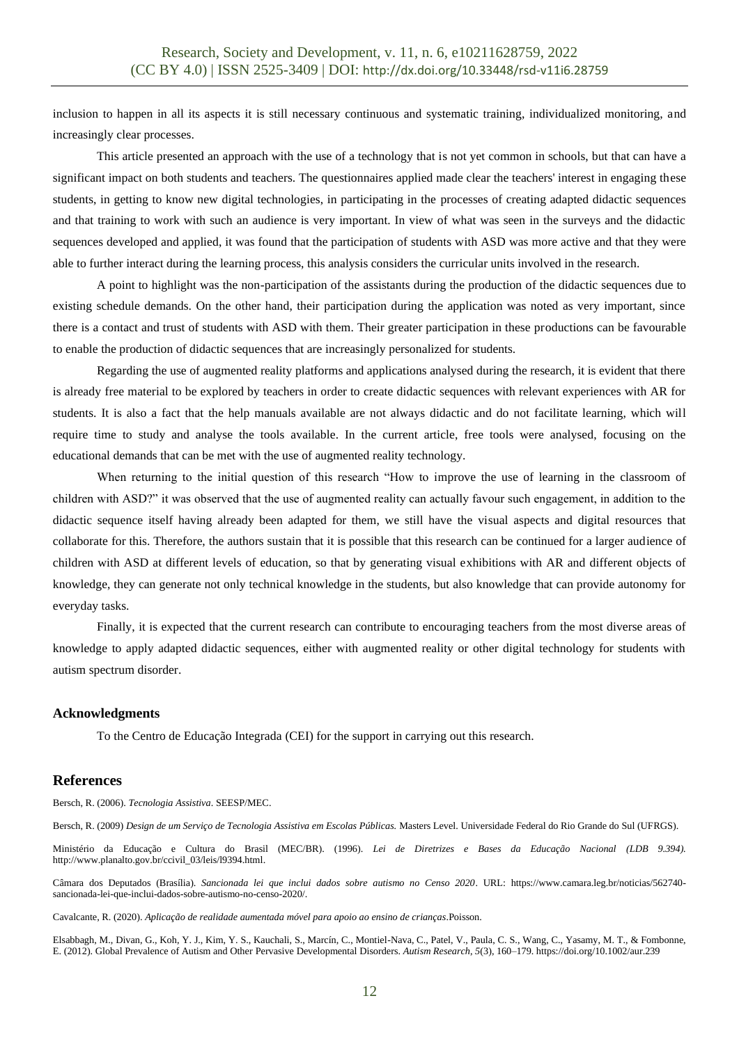inclusion to happen in all its aspects it is still necessary continuous and systematic training, individualized monitoring, and increasingly clear processes.

This article presented an approach with the use of a technology that is not yet common in schools, but that can have a significant impact on both students and teachers. The questionnaires applied made clear the teachers' interest in engaging these students, in getting to know new digital technologies, in participating in the processes of creating adapted didactic sequences and that training to work with such an audience is very important. In view of what was seen in the surveys and the didactic sequences developed and applied, it was found that the participation of students with ASD was more active and that they were able to further interact during the learning process, this analysis considers the curricular units involved in the research.

A point to highlight was the non-participation of the assistants during the production of the didactic sequences due to existing schedule demands. On the other hand, their participation during the application was noted as very important, since there is a contact and trust of students with ASD with them. Their greater participation in these productions can be favourable to enable the production of didactic sequences that are increasingly personalized for students.

Regarding the use of augmented reality platforms and applications analysed during the research, it is evident that there is already free material to be explored by teachers in order to create didactic sequences with relevant experiences with AR for students. It is also a fact that the help manuals available are not always didactic and do not facilitate learning, which will require time to study and analyse the tools available. In the current article, free tools were analysed, focusing on the educational demands that can be met with the use of augmented reality technology.

When returning to the initial question of this research "How to improve the use of learning in the classroom of children with ASD?" it was observed that the use of augmented reality can actually favour such engagement, in addition to the didactic sequence itself having already been adapted for them, we still have the visual aspects and digital resources that collaborate for this. Therefore, the authors sustain that it is possible that this research can be continued for a larger audience of children with ASD at different levels of education, so that by generating visual exhibitions with AR and different objects of knowledge, they can generate not only technical knowledge in the students, but also knowledge that can provide autonomy for everyday tasks.

Finally, it is expected that the current research can contribute to encouraging teachers from the most diverse areas of knowledge to apply adapted didactic sequences, either with augmented reality or other digital technology for students with autism spectrum disorder.

## **Acknowledgments**

To the Centro de Educação Integrada (CEI) for the support in carrying out this research.

## **References**

Bersch, R. (2006). *Tecnologia Assistiva*. SEESP/MEC.

Bersch, R. (2009) *Design de um Serviço de Tecnologia Assistiva em Escolas Públicas.* Masters Level. Universidade Federal do Rio Grande do Sul (UFRGS).

Ministério da Educação e Cultura do Brasil (MEC/BR). (1996). *Lei de Diretrizes e Bases da Educação Nacional (LDB 9.394).*  [http://www.planalto.gov.br/ccivil\\_03/leis/l9394.html.](http://www.planalto.gov.br/ccivil_03/leis/l9394.html)

Câmara dos Deputados (Brasília). *Sancionada lei que inclui dados sobre autismo no Censo 2020*. URL: https://www.camara.leg.br/noticias/562740 sancionada-lei-que-inclui-dados-sobre-autismo-no-censo-2020/.

Cavalcante, R. (2020). *Aplicação de realidade aumentada móvel para apoio ao ensino de crianças*.Poisson.

Elsabbagh, M., Divan, G., Koh, Y. J., Kim, Y. S., Kauchali, S., Marcín, C., Montiel-Nava, C., Patel, V., Paula, C. S., Wang, C., Yasamy, M. T., & Fombonne, E. (2012). Global Prevalence of Autism and Other Pervasive Developmental Disorders. *Autism Research*, *5*(3), 160–179. https://doi.org/10.1002/aur.239